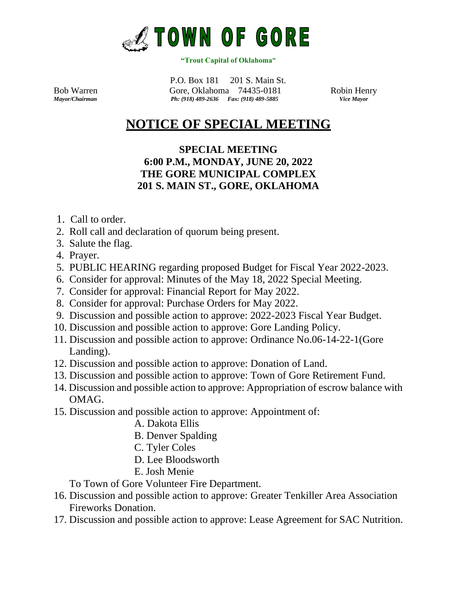

## **"Trout Capital of Oklahoma"**

 P.O. Box 181 201 S. Main St. Bob Warren Gore, Oklahoma 74435-0181 Robin Henry *Ph: (918) 489-2636 Fax: (918) 489-5885* 

## **NOTICE OF SPECIAL MEETING**

## **SPECIAL MEETING 6:00 P.M., MONDAY, JUNE 20, 2022 THE GORE MUNICIPAL COMPLEX 201 S. MAIN ST., GORE, OKLAHOMA**

- 1. Call to order.
- 2. Roll call and declaration of quorum being present.
- 3. Salute the flag.
- 4. Prayer.
- 5. PUBLIC HEARING regarding proposed Budget for Fiscal Year 2022-2023.
- 6. Consider for approval: Minutes of the May 18, 2022 Special Meeting.
- 7. Consider for approval: Financial Report for May 2022.
- 8. Consider for approval: Purchase Orders for May 2022.
- 9. Discussion and possible action to approve: 2022-2023 Fiscal Year Budget.
- 10. Discussion and possible action to approve: Gore Landing Policy.
- 11. Discussion and possible action to approve: Ordinance No.06-14-22-1(Gore Landing).
- 12. Discussion and possible action to approve: Donation of Land.
- 13. Discussion and possible action to approve: Town of Gore Retirement Fund.
- 14. Discussion and possible action to approve: Appropriation of escrow balance with OMAG.
- 15. Discussion and possible action to approve: Appointment of:
	- A. Dakota Ellis
	- B. Denver Spalding
	- C. Tyler Coles
	- D. Lee Bloodsworth
	- E. Josh Menie

To Town of Gore Volunteer Fire Department.

- 16. Discussion and possible action to approve: Greater Tenkiller Area Association Fireworks Donation.
- 17. Discussion and possible action to approve: Lease Agreement for SAC Nutrition.